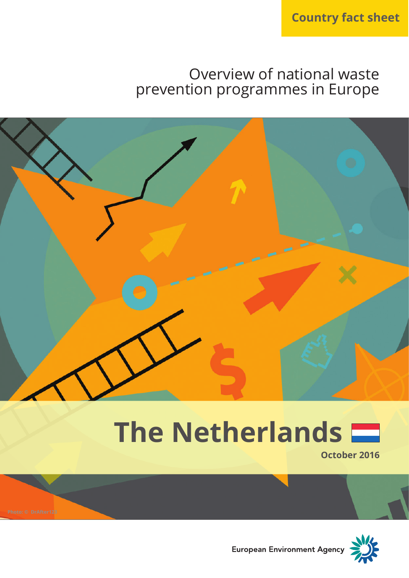# Overview of national waste prevention programmes in Europe



# **The Netherlands**



**October 2016**



European Environment Agency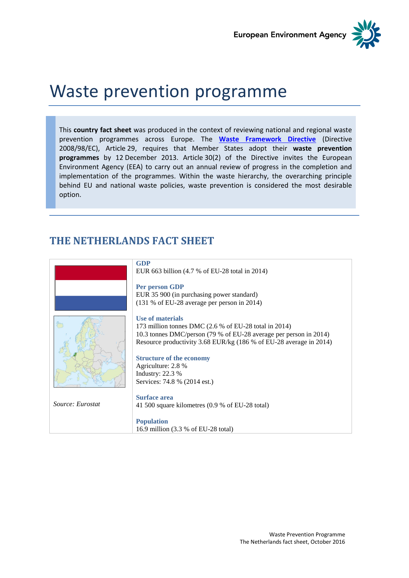**European Environment Agency** 



# Waste prevention programme

This **country fact sheet** was produced in the context of reviewing national and regional waste prevention programmes across Europe. The **[Waste Framework Directive](http://eur-lex.europa.eu/legal-content/EN/TXT/?uri=CELEX:32008L0098)** (Directive 2008/98/EC), Article 29, requires that Member States adopt their **waste prevention programmes** by 12 December 2013. Article 30(2) of the Directive invites the European Environment Agency (EEA) to carry out an annual review of progress in the completion and implementation of the programmes. Within the waste hierarchy, the overarching principle behind EU and national waste policies, waste prevention is considered the most desirable option.

### **THE NETHERLANDS FACT SHEET**

|                  | <b>GDP</b>                                                                                                                                                                                                             |
|------------------|------------------------------------------------------------------------------------------------------------------------------------------------------------------------------------------------------------------------|
|                  | EUR 663 billion (4.7 % of EU-28 total in 2014)                                                                                                                                                                         |
|                  | Per person GDP<br>EUR 35 900 (in purchasing power standard)<br>(131 % of EU-28 average per person in 2014)                                                                                                             |
|                  | Use of materials<br>173 million tonnes DMC $(2.6 %$ of EU-28 total in 2014)<br>10.3 tonnes DMC/person (79 % of EU-28 average per person in 2014)<br>Resource productivity 3.68 EUR/kg (186 % of EU-28 average in 2014) |
|                  | <b>Structure of the economy</b>                                                                                                                                                                                        |
|                  | Agriculture: 2.8 %                                                                                                                                                                                                     |
|                  | Industry: $22.3%$                                                                                                                                                                                                      |
|                  | Services: 74.8 % (2014 est.)                                                                                                                                                                                           |
|                  |                                                                                                                                                                                                                        |
| Source: Eurostat | <b>Surface area</b>                                                                                                                                                                                                    |
|                  | 41 500 square kilometres (0.9 % of EU-28 total)                                                                                                                                                                        |
|                  | <b>Population</b>                                                                                                                                                                                                      |
|                  | 16.9 million (3.3 % of EU-28 total)                                                                                                                                                                                    |
|                  |                                                                                                                                                                                                                        |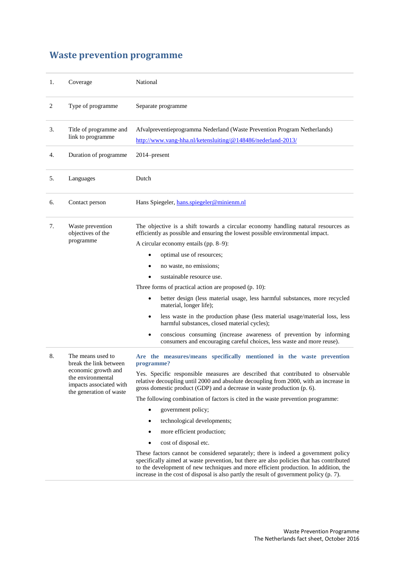## **Waste prevention programme**

| 1. | Coverage                                                                                       | National                                                                                                                                                                                                                                                                                                                                                          |
|----|------------------------------------------------------------------------------------------------|-------------------------------------------------------------------------------------------------------------------------------------------------------------------------------------------------------------------------------------------------------------------------------------------------------------------------------------------------------------------|
| 2  | Type of programme                                                                              | Separate programme                                                                                                                                                                                                                                                                                                                                                |
| 3. | Title of programme and<br>link to programme                                                    | Afvalpreventieprogramma Nederland (Waste Prevention Program Netherlands)<br>http://www.vang-hha.nl/ketensluiting/@148486/nederland-2013/                                                                                                                                                                                                                          |
| 4. | Duration of programme                                                                          | 2014–present                                                                                                                                                                                                                                                                                                                                                      |
| 5. | Languages                                                                                      | Dutch                                                                                                                                                                                                                                                                                                                                                             |
| 6. | Contact person                                                                                 | Hans Spiegeler, hans.spiegeler@minienm.nl                                                                                                                                                                                                                                                                                                                         |
| 7. | Waste prevention<br>objectives of the                                                          | The objective is a shift towards a circular economy handling natural resources as<br>efficiently as possible and ensuring the lowest possible environmental impact.                                                                                                                                                                                               |
|    | programme                                                                                      | A circular economy entails (pp. 8–9):                                                                                                                                                                                                                                                                                                                             |
|    |                                                                                                | optimal use of resources;                                                                                                                                                                                                                                                                                                                                         |
|    |                                                                                                | no waste, no emissions;<br>٠                                                                                                                                                                                                                                                                                                                                      |
|    |                                                                                                | sustainable resource use.                                                                                                                                                                                                                                                                                                                                         |
|    |                                                                                                | Three forms of practical action are proposed (p. 10):                                                                                                                                                                                                                                                                                                             |
|    |                                                                                                | better design (less material usage, less harmful substances, more recycled<br>$\bullet$<br>material, longer life);                                                                                                                                                                                                                                                |
|    |                                                                                                | less waste in the production phase (less material usage/material loss, less<br>$\bullet$<br>harmful substances, closed material cycles);                                                                                                                                                                                                                          |
|    |                                                                                                | conscious consuming (increase awareness of prevention by informing<br>٠<br>consumers and encouraging careful choices, less waste and more reuse).                                                                                                                                                                                                                 |
| 8. | The means used to<br>break the link between                                                    | Are the measures/means specifically mentioned in the waste prevention<br>programme?                                                                                                                                                                                                                                                                               |
|    | economic growth and<br>the environmental<br>impacts associated with<br>the generation of waste | Yes. Specific responsible measures are described that contributed to observable<br>relative decoupling until 2000 and absolute decoupling from 2000, with an increase in<br>gross domestic product (GDP) and a decrease in waste production (p. 6).                                                                                                               |
|    |                                                                                                | The following combination of factors is cited in the waste prevention programme:                                                                                                                                                                                                                                                                                  |
|    |                                                                                                | government policy;<br>٠                                                                                                                                                                                                                                                                                                                                           |
|    |                                                                                                | technological developments;                                                                                                                                                                                                                                                                                                                                       |
|    |                                                                                                | more efficient production;<br>٠                                                                                                                                                                                                                                                                                                                                   |
|    |                                                                                                | cost of disposal etc.                                                                                                                                                                                                                                                                                                                                             |
|    |                                                                                                | These factors cannot be considered separately; there is indeed a government policy<br>specifically aimed at waste prevention, but there are also policies that has contributed<br>to the development of new techniques and more efficient production. In addition, the<br>increase in the cost of disposal is also partly the result of government policy (p. 7). |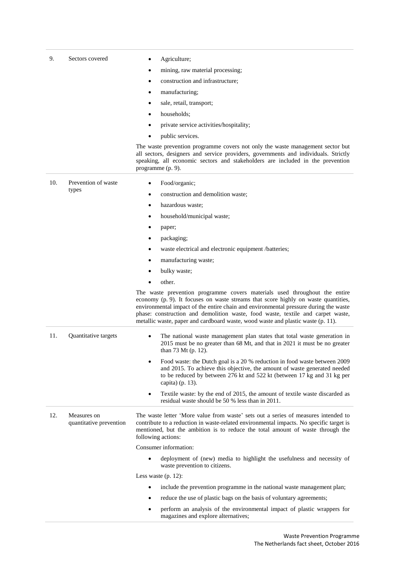| 9.  | Sectors covered                        | Agriculture;                                                                                                                                                                                                                                                                                                                                                                                                                    |
|-----|----------------------------------------|---------------------------------------------------------------------------------------------------------------------------------------------------------------------------------------------------------------------------------------------------------------------------------------------------------------------------------------------------------------------------------------------------------------------------------|
|     |                                        | mining, raw material processing;<br>٠                                                                                                                                                                                                                                                                                                                                                                                           |
|     |                                        | construction and infrastructure;<br>٠                                                                                                                                                                                                                                                                                                                                                                                           |
|     |                                        | manufacturing;<br>٠                                                                                                                                                                                                                                                                                                                                                                                                             |
|     |                                        | sale, retail, transport;<br>٠                                                                                                                                                                                                                                                                                                                                                                                                   |
|     |                                        | households;<br>٠                                                                                                                                                                                                                                                                                                                                                                                                                |
|     |                                        | private service activities/hospitality;                                                                                                                                                                                                                                                                                                                                                                                         |
|     |                                        | public services.                                                                                                                                                                                                                                                                                                                                                                                                                |
|     |                                        | The waste prevention programme covers not only the waste management sector but<br>all sectors, designers and service providers, governments and individuals. Strictly<br>speaking, all economic sectors and stakeholders are included in the prevention<br>programme (p. 9).                                                                                                                                                    |
| 10. | Prevention of waste                    | Food/organic;<br>٠                                                                                                                                                                                                                                                                                                                                                                                                              |
|     | types                                  | construction and demolition waste;<br>٠                                                                                                                                                                                                                                                                                                                                                                                         |
|     |                                        | hazardous waste;<br>٠                                                                                                                                                                                                                                                                                                                                                                                                           |
|     |                                        | household/municipal waste;<br>٠                                                                                                                                                                                                                                                                                                                                                                                                 |
|     |                                        | paper;                                                                                                                                                                                                                                                                                                                                                                                                                          |
|     |                                        | packaging;<br>٠                                                                                                                                                                                                                                                                                                                                                                                                                 |
|     |                                        | waste electrical and electronic equipment /batteries;<br>$\bullet$                                                                                                                                                                                                                                                                                                                                                              |
|     |                                        | manufacturing waste;                                                                                                                                                                                                                                                                                                                                                                                                            |
|     |                                        | bulky waste;<br>٠                                                                                                                                                                                                                                                                                                                                                                                                               |
|     |                                        | other.                                                                                                                                                                                                                                                                                                                                                                                                                          |
|     |                                        | The waste prevention programme covers materials used throughout the entire<br>economy (p. 9). It focuses on waste streams that score highly on waste quantities,<br>environmental impact of the entire chain and environmental pressure during the waste<br>phase: construction and demolition waste, food waste, textile and carpet waste,<br>metallic waste, paper and cardboard waste, wood waste and plastic waste (p. 11). |
| 11. | Quantitative targets                   | The national waste management plan states that total waste generation in<br>$\bullet$<br>2015 must be no greater than 68 Mt, and that in 2021 it must be no greater<br>than 73 Mt (p. 12).                                                                                                                                                                                                                                      |
|     |                                        | Food waste: the Dutch goal is a 20 % reduction in food waste between 2009<br>and 2015. To achieve this objective, the amount of waste generated needed<br>to be reduced by between 276 kt and 522 kt (between 17 kg and 31 kg per<br>capita) (p. 13).                                                                                                                                                                           |
|     |                                        | Textile waste: by the end of 2015, the amount of textile waste discarded as<br>$\bullet$<br>residual waste should be 50 % less than in 2011.                                                                                                                                                                                                                                                                                    |
| 12. | Measures on<br>quantitative prevention | The waste letter 'More value from waste' sets out a series of measures intended to<br>contribute to a reduction in waste-related environmental impacts. No specific target is<br>mentioned, but the ambition is to reduce the total amount of waste through the<br>following actions:                                                                                                                                           |
|     |                                        | Consumer information:                                                                                                                                                                                                                                                                                                                                                                                                           |
|     |                                        | deployment of (new) media to highlight the usefulness and necessity of<br>waste prevention to citizens.                                                                                                                                                                                                                                                                                                                         |
|     |                                        | Less waste $(p. 12)$ :                                                                                                                                                                                                                                                                                                                                                                                                          |
|     |                                        | include the prevention programme in the national waste management plan;                                                                                                                                                                                                                                                                                                                                                         |
|     |                                        | reduce the use of plastic bags on the basis of voluntary agreements;<br>٠                                                                                                                                                                                                                                                                                                                                                       |
|     |                                        | perform an analysis of the environmental impact of plastic wrappers for<br>magazines and explore alternatives;                                                                                                                                                                                                                                                                                                                  |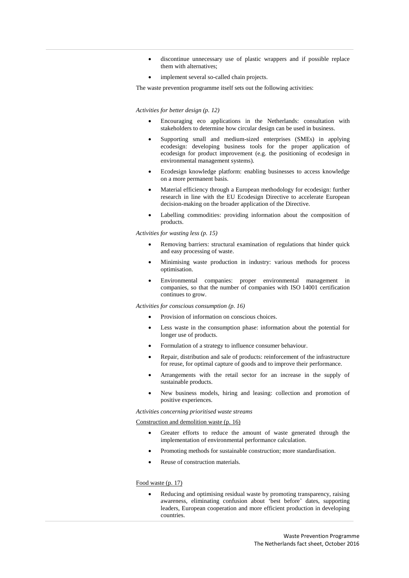- discontinue unnecessary use of plastic wrappers and if possible replace them with alternatives;
- implement several so-called chain projects.

The waste prevention programme itself sets out the following activities:

#### *Activities for better design (p. 12)*

- Encouraging eco applications in the Netherlands: consultation with stakeholders to determine how circular design can be used in business.
- Supporting small and medium-sized enterprises (SMEs) in applying ecodesign: developing business tools for the proper application of ecodesign for product improvement (e.g. the positioning of ecodesign in environmental management systems).
- Ecodesign knowledge platform: enabling businesses to access knowledge on a more permanent basis.
- Material efficiency through a European methodology for ecodesign: further research in line with the EU Ecodesign Directive to accelerate European decision-making on the broader application of the Directive.
- Labelling commodities: providing information about the composition of products.

*Activities for wasting less (p. 15)*

- Removing barriers: structural examination of regulations that hinder quick and easy processing of waste.
- Minimising waste production in industry: various methods for process optimisation.
- Environmental companies: proper environmental management in companies, so that the number of companies with ISO 14001 certification continues to grow.

*Activities for conscious consumption (p. 16)*

- Provision of information on conscious choices.
- Less waste in the consumption phase: information about the potential for longer use of products.
- Formulation of a strategy to influence consumer behaviour.
- Repair, distribution and sale of products: reinforcement of the infrastructure for reuse, for optimal capture of goods and to improve their performance.
- Arrangements with the retail sector for an increase in the supply of sustainable products.
- New business models, hiring and leasing: collection and promotion of positive experiences.

*Activities concerning prioritised waste streams*

#### Construction and demolition waste (p. 16)

- Greater efforts to reduce the amount of waste generated through the implementation of environmental performance calculation.
- Promoting methods for sustainable construction; more standardisation.
- Reuse of construction materials.

#### Food waste (p. 17)

 Reducing and optimising residual waste by promoting transparency, raising awareness, eliminating confusion about 'best before' dates, supporting leaders, European cooperation and more efficient production in developing countries.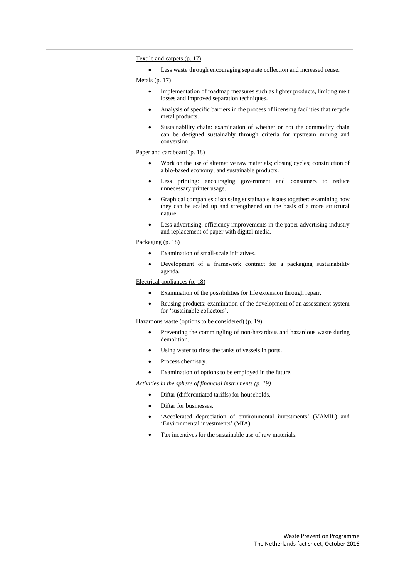#### Textile and carpets (p. 17)

Less waste through encouraging separate collection and increased reuse.

Metals (p. 17)

- Implementation of roadmap measures such as lighter products, limiting melt losses and improved separation techniques.
- Analysis of specific barriers in the process of licensing facilities that recycle metal products.
- Sustainability chain: examination of whether or not the commodity chain can be designed sustainably through criteria for upstream mining and conversion.

#### Paper and cardboard (p. 18)

- Work on the use of alternative raw materials; closing cycles; construction of a bio-based economy; and sustainable products.
- Less printing: encouraging government and consumers to reduce unnecessary printer usage.
- Graphical companies discussing sustainable issues together: examining how they can be scaled up and strengthened on the basis of a more structural nature.
- Less advertising: efficiency improvements in the paper advertising industry and replacement of paper with digital media.

#### Packaging (p. 18)

- Examination of small-scale initiatives.
- Development of a framework contract for a packaging sustainability agenda.

#### Electrical appliances (p. 18)

- Examination of the possibilities for life extension through repair.
- Reusing products: examination of the development of an assessment system for 'sustainable collectors'.

#### Hazardous waste (options to be considered) (p. 19)

- Preventing the commingling of non-hazardous and hazardous waste during demolition.
- Using water to rinse the tanks of vessels in ports.
- Process chemistry.

Examination of options to be employed in the future.

#### *Activities in the sphere of financial instruments (p. 19)*

- Diftar (differentiated tariffs) for households.
- Diftar for businesses.
- 'Accelerated depreciation of environmental investments' (VAMIL) and 'Environmental investments' (MIA).
- Tax incentives for the sustainable use of raw materials.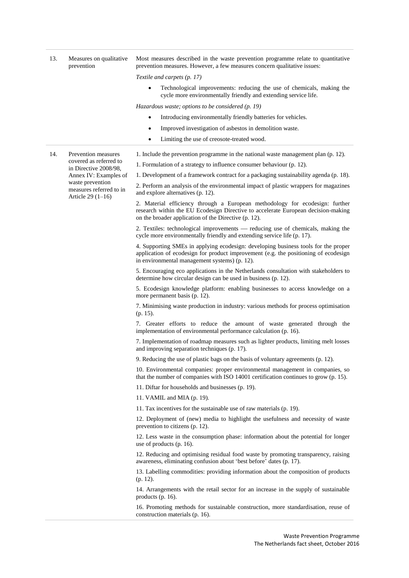| 13. | Measures on qualitative<br>prevention                             | Most measures described in the waste prevention programme relate to quantitative<br>prevention measures. However, a few measures concern qualitative issues:                                                               |
|-----|-------------------------------------------------------------------|----------------------------------------------------------------------------------------------------------------------------------------------------------------------------------------------------------------------------|
|     |                                                                   | Textile and carpets (p. 17)                                                                                                                                                                                                |
|     |                                                                   | Technological improvements: reducing the use of chemicals, making the<br>$\bullet$<br>cycle more environmentally friendly and extending service life.                                                                      |
|     |                                                                   | Hazardous waste; options to be considered $(p. 19)$                                                                                                                                                                        |
|     |                                                                   | Introducing environmentally friendly batteries for vehicles.<br>$\bullet$                                                                                                                                                  |
|     |                                                                   | Improved investigation of asbestos in demolition waste.<br>$\bullet$                                                                                                                                                       |
|     |                                                                   | Limiting the use of creosote-treated wood.<br>٠                                                                                                                                                                            |
| 14. | Prevention measures                                               | 1. Include the prevention programme in the national waste management plan (p. 12).                                                                                                                                         |
|     | covered as referred to                                            | 1. Formulation of a strategy to influence consumer behaviour (p. 12).                                                                                                                                                      |
|     | in Directive 2008/98,<br>Annex IV: Examples of                    | 1. Development of a framework contract for a packaging sustainability agenda (p. 18).                                                                                                                                      |
|     | waste prevention<br>measures referred to in<br>Article $29(1-16)$ | 2. Perform an analysis of the environmental impact of plastic wrappers for magazines<br>and explore alternatives (p. 12).                                                                                                  |
|     |                                                                   | 2. Material efficiency through a European methodology for ecodesign: further<br>research within the EU Ecodesign Directive to accelerate European decision-making<br>on the broader application of the Directive (p. 12).  |
|     |                                                                   | 2. Textiles: technological improvements — reducing use of chemicals, making the<br>cycle more environmentally friendly and extending service life (p. 17).                                                                 |
|     |                                                                   | 4. Supporting SMEs in applying ecodesign: developing business tools for the proper<br>application of ecodesign for product improvement (e.g. the positioning of ecodesign<br>in environmental management systems) (p. 12). |
|     |                                                                   | 5. Encouraging eco applications in the Netherlands consultation with stakeholders to<br>determine how circular design can be used in business (p. 12).                                                                     |
|     |                                                                   | 5. Ecodesign knowledge platform: enabling businesses to access knowledge on a<br>more permanent basis (p. 12).                                                                                                             |
|     |                                                                   | 7. Minimising waste production in industry: various methods for process optimisation<br>$(p. 15)$ .                                                                                                                        |
|     |                                                                   | 7. Greater efforts to reduce the amount of waste generated through the<br>implementation of environmental performance calculation (p. 16).                                                                                 |
|     |                                                                   | 7. Implementation of roadmap measures such as lighter products, limiting melt losses<br>and improving separation techniques (p. 17).                                                                                       |
|     |                                                                   | 9. Reducing the use of plastic bags on the basis of voluntary agreements (p. 12).                                                                                                                                          |
|     |                                                                   | 10. Environmental companies: proper environmental management in companies, so<br>that the number of companies with ISO 14001 certification continues to grow (p. 15).                                                      |
|     |                                                                   | 11. Diftar for households and businesses (p. 19).                                                                                                                                                                          |
|     |                                                                   | 11. VAMIL and MIA (p. 19).                                                                                                                                                                                                 |
|     |                                                                   | 11. Tax incentives for the sustainable use of raw materials (p. 19).                                                                                                                                                       |
|     |                                                                   | 12. Deployment of (new) media to highlight the usefulness and necessity of waste<br>prevention to citizens (p. 12).                                                                                                        |
|     |                                                                   | 12. Less waste in the consumption phase: information about the potential for longer<br>use of products $(p. 16)$ .                                                                                                         |
|     |                                                                   | 12. Reducing and optimising residual food waste by promoting transparency, raising<br>awareness, eliminating confusion about 'best before' dates (p. 17).                                                                  |
|     |                                                                   | 13. Labelling commodities: providing information about the composition of products<br>$(p. 12)$ .                                                                                                                          |
|     |                                                                   | 14. Arrangements with the retail sector for an increase in the supply of sustainable<br>products $(p. 16)$ .                                                                                                               |
|     |                                                                   | 16. Promoting methods for sustainable construction, more standardisation, reuse of<br>construction materials (p. 16).                                                                                                      |
|     |                                                                   |                                                                                                                                                                                                                            |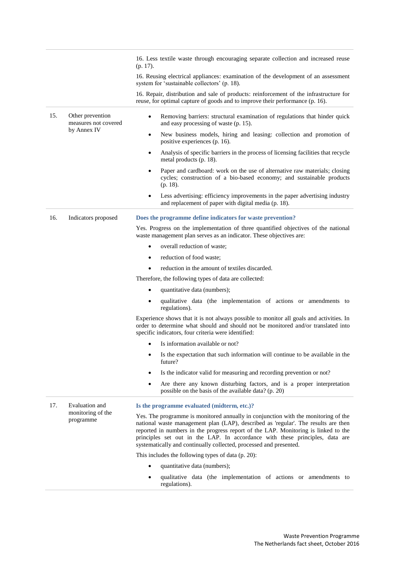|     |                                          | 16. Less textile waste through encouraging separate collection and increased reuse<br>$(p. 17)$ .                                                                                                                                                                                                                                                                                                                    |
|-----|------------------------------------------|----------------------------------------------------------------------------------------------------------------------------------------------------------------------------------------------------------------------------------------------------------------------------------------------------------------------------------------------------------------------------------------------------------------------|
|     |                                          | 16. Reusing electrical appliances: examination of the development of an assessment<br>system for 'sustainable collectors' (p. 18).                                                                                                                                                                                                                                                                                   |
|     |                                          | 16. Repair, distribution and sale of products: reinforcement of the infrastructure for<br>reuse, for optimal capture of goods and to improve their performance (p. 16).                                                                                                                                                                                                                                              |
| 15. | Other prevention<br>measures not covered | Removing barriers: structural examination of regulations that hinder quick<br>$\bullet$<br>and easy processing of waste (p. 15).                                                                                                                                                                                                                                                                                     |
|     | by Annex IV                              | New business models, hiring and leasing: collection and promotion of<br>٠<br>positive experiences (p. 16).                                                                                                                                                                                                                                                                                                           |
|     |                                          | Analysis of specific barriers in the process of licensing facilities that recycle<br>$\bullet$<br>metal products (p. 18).                                                                                                                                                                                                                                                                                            |
|     |                                          | Paper and cardboard: work on the use of alternative raw materials; closing<br>$\bullet$<br>cycles; construction of a bio-based economy; and sustainable products<br>$(p. 18)$ .                                                                                                                                                                                                                                      |
|     |                                          | Less advertising: efficiency improvements in the paper advertising industry<br>٠<br>and replacement of paper with digital media (p. 18).                                                                                                                                                                                                                                                                             |
| 16. | Indicators proposed                      | Does the programme define indicators for waste prevention?                                                                                                                                                                                                                                                                                                                                                           |
|     |                                          | Yes. Progress on the implementation of three quantified objectives of the national<br>waste management plan serves as an indicator. These objectives are:                                                                                                                                                                                                                                                            |
|     |                                          | overall reduction of waste;<br>$\bullet$                                                                                                                                                                                                                                                                                                                                                                             |
|     |                                          | reduction of food waste;<br>$\bullet$                                                                                                                                                                                                                                                                                                                                                                                |
|     |                                          | reduction in the amount of textiles discarded.                                                                                                                                                                                                                                                                                                                                                                       |
|     |                                          | Therefore, the following types of data are collected:                                                                                                                                                                                                                                                                                                                                                                |
|     |                                          | quantitative data (numbers);                                                                                                                                                                                                                                                                                                                                                                                         |
|     |                                          | qualitative data (the implementation of actions or amendments to<br>$\bullet$<br>regulations).                                                                                                                                                                                                                                                                                                                       |
|     |                                          | Experience shows that it is not always possible to monitor all goals and activities. In<br>order to determine what should and should not be monitored and/or translated into<br>specific indicators, four criteria were identified:                                                                                                                                                                                  |
|     |                                          | Is information available or not?                                                                                                                                                                                                                                                                                                                                                                                     |
|     |                                          | Is the expectation that such information will continue to be available in the<br>future?_                                                                                                                                                                                                                                                                                                                            |
|     |                                          | Is the indicator valid for measuring and recording prevention or not?                                                                                                                                                                                                                                                                                                                                                |
|     |                                          | Are there any known disturbing factors, and is a proper interpretation<br>$\bullet$<br>possible on the basis of the available data? (p. 20)                                                                                                                                                                                                                                                                          |
| 17. | Evaluation and                           | Is the programme evaluated (midterm, etc.)?                                                                                                                                                                                                                                                                                                                                                                          |
|     | monitoring of the<br>programme           | Yes. The programme is monitored annually in conjunction with the monitoring of the<br>national waste management plan (LAP), described as 'regular'. The results are then<br>reported in numbers in the progress report of the LAP. Monitoring is linked to the<br>principles set out in the LAP. In accordance with these principles, data are<br>systematically and continually collected, processed and presented. |
|     |                                          | This includes the following types of data (p. 20):                                                                                                                                                                                                                                                                                                                                                                   |
|     |                                          | quantitative data (numbers);<br>$\bullet$                                                                                                                                                                                                                                                                                                                                                                            |
|     |                                          | qualitative data (the implementation of actions or amendments to<br>$\bullet$<br>regulations).                                                                                                                                                                                                                                                                                                                       |